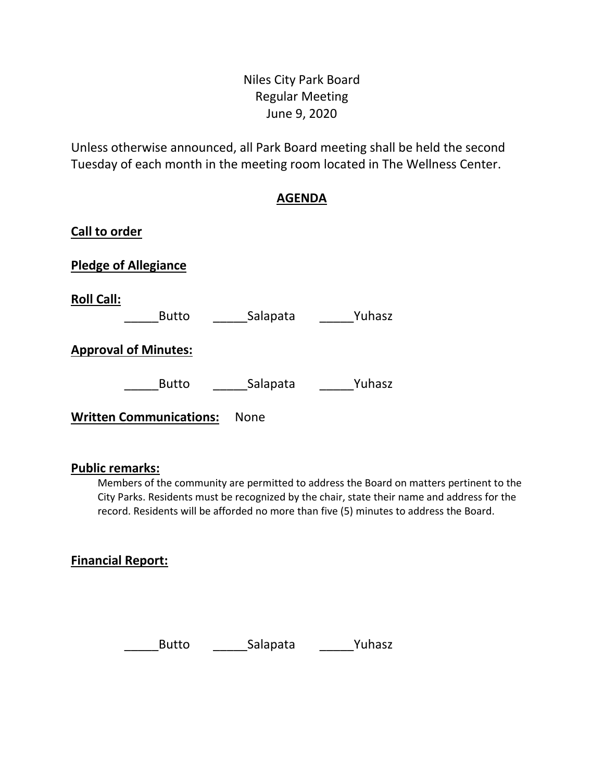# Niles City Park Board Regular Meeting June 9, 2020

Unless otherwise announced, all Park Board meeting shall be held the second Tuesday of each month in the meeting room located in The Wellness Center.

# **AGENDA**

| Call to order                     |             |        |
|-----------------------------------|-------------|--------|
| <b>Pledge of Allegiance</b>       |             |        |
| <b>Roll Call:</b><br><b>Butto</b> | Salapata    | Yuhasz |
| <b>Approval of Minutes:</b>       |             |        |
| <b>Butto</b>                      | Salapata    | Yuhasz |
| <b>Written Communications:</b>    | <b>None</b> |        |

#### **Public remarks:**

Members of the community are permitted to address the Board on matters pertinent to the City Parks. Residents must be recognized by the chair, state their name and address for the record. Residents will be afforded no more than five (5) minutes to address the Board.

### **Financial Report:**

Butto **\_\_\_\_\_\_\_Salapata** \_\_\_\_\_\_\_\_Yuhasz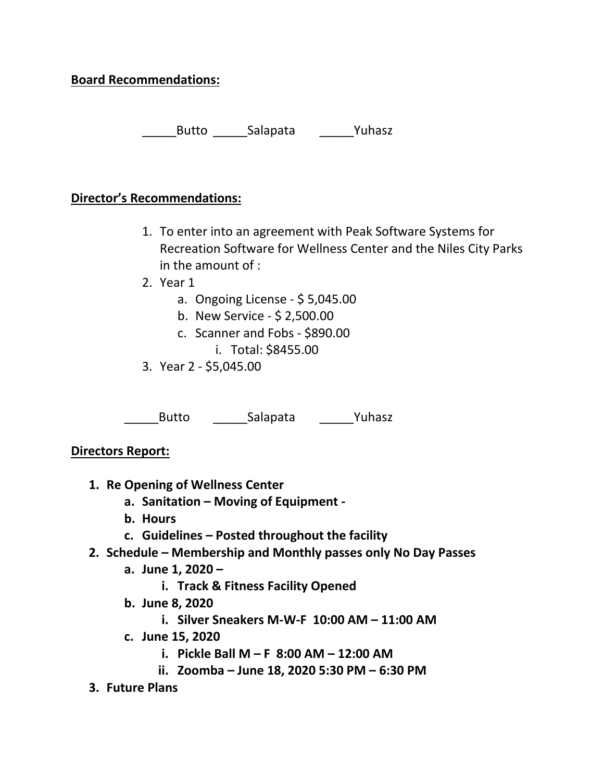# **Board Recommendations:**

Butto Salapata Puhasz

### **Director's Recommendations:**

- 1. To enter into an agreement with Peak Software Systems for Recreation Software for Wellness Center and the Niles City Parks in the amount of :
- 2. Year 1
	- a. Ongoing License \$ 5,045.00
	- b. New Service \$ 2,500.00
	- c. Scanner and Fobs \$890.00 i. Total: \$8455.00
- 3. Year 2 \$5,045.00

\_Butto \_\_\_\_\_\_\_\_\_Salapata \_\_\_\_\_\_\_\_\_Yuhasz

**Directors Report:**

- **1. Re Opening of Wellness Center**
	- **a. Sanitation – Moving of Equipment -**
	- **b. Hours**
	- **c. Guidelines – Posted throughout the facility**
- **2. Schedule – Membership and Monthly passes only No Day Passes**
	- **a. June 1, 2020 –**
		- **i. Track & Fitness Facility Opened**
	- **b. June 8, 2020**
		- **i. Silver Sneakers M-W-F 10:00 AM – 11:00 AM**
	- **c. June 15, 2020**
		- **i. Pickle Ball M – F 8:00 AM – 12:00 AM**
		- **ii. Zoomba – June 18, 2020 5:30 PM – 6:30 PM**
- **3. Future Plans**